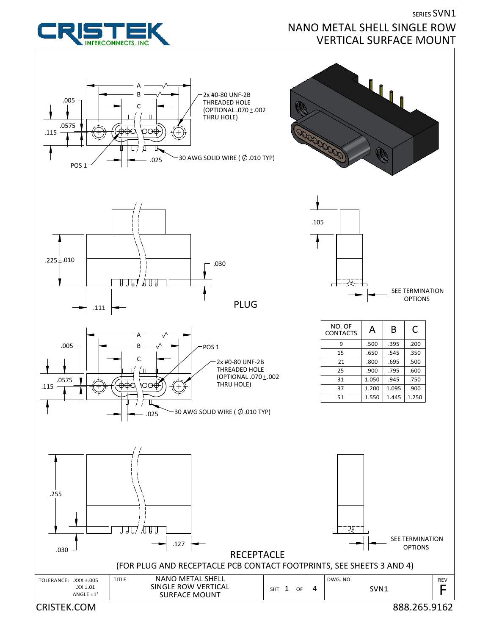

**INTERCONNECTS.** INC

**SERIES SVN1** NANO METAL SHELL SINGLE ROW VERTICAL SURFACE MOUNT

CRISTEK.COM 888.265.9162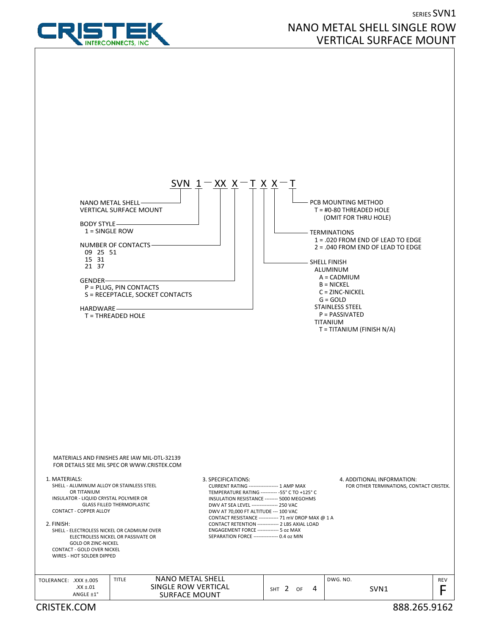

## SERIES SVN1 NANO METAL SHELL SINGLE ROW VERTICAL SURFACE MOUNT

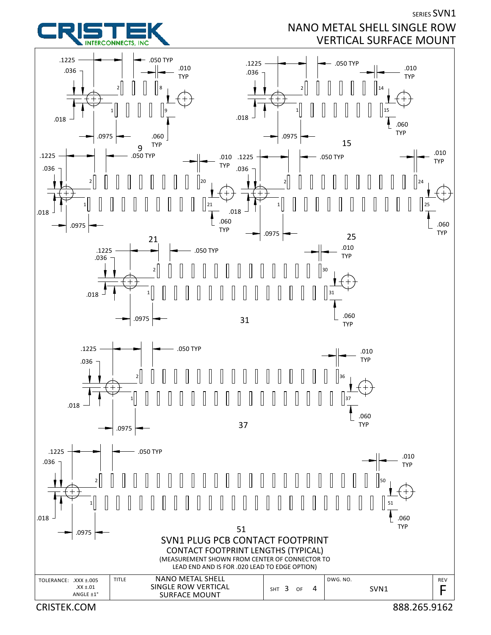**SERIES SVN1** 

## NANO METAL SHELL SINGLE ROW VERTICAL SURFACE MOUNT